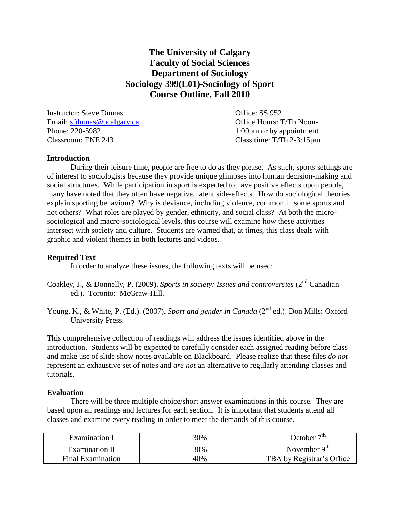# **The University of Calgary Faculty of Social Sciences Department of Sociology Sociology 399(L01)-Sociology of Sport Course Outline, Fall 2010**

Instructor: Steve Dumas Office: SS 952 Email: [sfdumas@ucalgary.ca](mailto:sfdumas@ucalgary.ca) Office Hours: T/Th Noon-Phone: 220-5982 1:00pm or by appointment Classroom: ENE 243 Class time: T/Th 2-3:15pm

#### **Introduction**

During their leisure time, people are free to do as they please. As such, sports settings are of interest to sociologists because they provide unique glimpses into human decision-making and social structures. While participation in sport is expected to have positive effects upon people, many have noted that they often have negative, latent side-effects. How do sociological theories explain sporting behaviour? Why is deviance, including violence, common in some sports and not others? What roles are played by gender, ethnicity, and social class? At both the microsociological and macro-sociological levels, this course will examine how these activities intersect with society and culture. Students are warned that, at times, this class deals with graphic and violent themes in both lectures and videos.

### **Required Text**

In order to analyze these issues, the following texts will be used:

Coakley, J., & Donnelly, P. (2009). *Sports in society: Issues and controversies* (2<sup>nd</sup> Canadian ed.). Toronto: McGraw-Hill.

Young, K., & White, P. (Ed.). (2007). *Sport and gender in Canada* (2<sup>nd</sup> ed.). Don Mills: Oxford University Press.

This comprehensive collection of readings will address the issues identified above in the introduction. Students will be expected to carefully consider each assigned reading before class and make use of slide show notes available on Blackboard. Please realize that these files *do not* represent an exhaustive set of notes and *are not* an alternative to regularly attending classes and tutorials.

#### **Evaluation**

There will be three multiple choice/short answer examinations in this course. They are based upon all readings and lectures for each section. It is important that students attend all classes and examine every reading in order to meet the demands of this course.

| Examination I         | 30% | October $7th$             |
|-----------------------|-----|---------------------------|
| <b>Examination II</b> | 30% | November $9th$            |
| Final Examination     | 40% | TBA by Registrar's Office |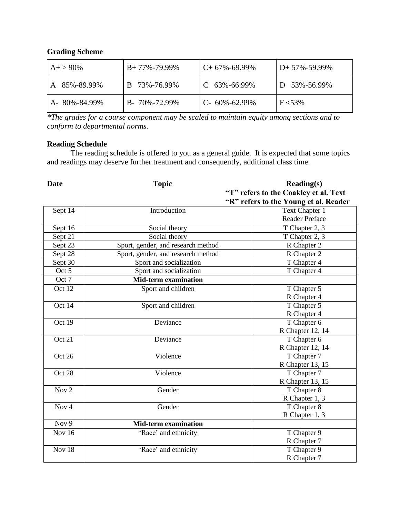# **Grading Scheme**

| $A+ > 90\%$          | $B+77\% -79.99\%$ | $C+67\% -69.99\%$  | $D+57\% -59.99\%$ |
|----------------------|-------------------|--------------------|-------------------|
| 85%-89.99%           | 73%-76.99%        | $C$ 63%-66.99%     | 53%-56.99%        |
| $A - 80\% - 84.99\%$ | B- 70%-72.99%     | $C-60\% - 62.99\%$ | $F < 53\%$        |

*\*The grades for a course component may be scaled to maintain equity among sections and to conform to departmental norms.*

# **Reading Schedule**

The reading schedule is offered to you as a general guide. It is expected that some topics and readings may deserve further treatment and consequently, additional class time.

| <b>Date</b>      | <b>Topic</b>                       | $\textbf{Reading}(s)$                 |
|------------------|------------------------------------|---------------------------------------|
|                  |                                    | "T" refers to the Coakley et al. Text |
|                  |                                    | "R" refers to the Young et al. Reader |
| Sept 14          | Introduction                       | Text Chapter 1                        |
|                  |                                    | <b>Reader Preface</b>                 |
| Sept 16          | Social theory                      | T Chapter 2, 3                        |
| Sept 21          | Social theory                      | T Chapter 2, 3                        |
| Sept 23          | Sport, gender, and research method | R Chapter 2                           |
| Sept 28          | Sport, gender, and research method | R Chapter 2                           |
| Sept 30          | Sport and socialization            | T Chapter 4                           |
| Oct 5            | Sport and socialization            | T Chapter 4                           |
| Oct 7            | <b>Mid-term examination</b>        |                                       |
| Oct 12           | Sport and children                 | T Chapter 5                           |
|                  |                                    | R Chapter 4                           |
| Oct 14           | Sport and children                 | T Chapter 5                           |
|                  |                                    | R Chapter 4                           |
| Oct 19           | Deviance                           | T Chapter 6                           |
|                  |                                    | R Chapter 12, 14                      |
| Oct 21           | Deviance                           | T Chapter 6                           |
|                  |                                    | R Chapter 12, 14                      |
| Oct 26           | Violence                           | T Chapter 7                           |
|                  |                                    | R Chapter 13, 15                      |
| Oct 28           | Violence                           | T Chapter 7                           |
|                  |                                    | R Chapter 13, 15                      |
| Nov <sub>2</sub> | Gender                             | T Chapter 8                           |
|                  |                                    | R Chapter 1, 3                        |
| Nov <sub>4</sub> | Gender                             | T Chapter 8                           |
|                  |                                    | R Chapter 1, 3                        |
| Nov 9            | <b>Mid-term examination</b>        |                                       |
| Nov $16$         | 'Race' and ethnicity               | T Chapter 9                           |
|                  |                                    | R Chapter 7                           |
| Nov 18           | 'Race' and ethnicity               | T Chapter 9                           |
|                  |                                    | R Chapter 7                           |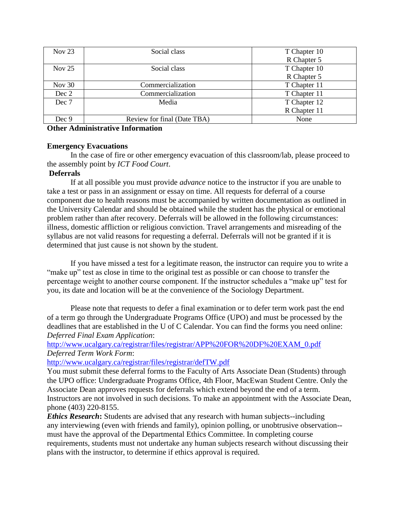| Nov $23$ | Social class                | T Chapter 10 |
|----------|-----------------------------|--------------|
|          |                             | R Chapter 5  |
| Nov $25$ | Social class                | T Chapter 10 |
|          |                             | R Chapter 5  |
| Nov $30$ | Commercialization           | T Chapter 11 |
| Dec 2    | Commercialization           | T Chapter 11 |
| Dec 7    | Media                       | T Chapter 12 |
|          |                             | R Chapter 11 |
| Dec 9    | Review for final (Date TBA) | None         |

**Other Administrative Information**

# **Emergency Evacuations**

In the case of fire or other emergency evacuation of this classroom/lab, please proceed to the assembly point by *ICT Food Court*.

# **Deferrals**

If at all possible you must provide *advance* notice to the instructor if you are unable to take a test or pass in an assignment or essay on time. All requests for deferral of a course component due to health reasons must be accompanied by written documentation as outlined in the University Calendar and should be obtained while the student has the physical or emotional problem rather than after recovery. Deferrals will be allowed in the following circumstances: illness, domestic affliction or religious conviction. Travel arrangements and misreading of the syllabus are not valid reasons for requesting a deferral. Deferrals will not be granted if it is determined that just cause is not shown by the student.

If you have missed a test for a legitimate reason, the instructor can require you to write a "make up" test as close in time to the original test as possible or can choose to transfer the percentage weight to another course component. If the instructor schedules a "make up" test for you, its date and location will be at the convenience of the Sociology Department.

Please note that requests to defer a final examination or to defer term work past the end of a term go through the Undergraduate Programs Office (UPO) and must be processed by the deadlines that are established in the U of C Calendar. You can find the forms you need online: *Deferred Final Exam Application*:

[http://www.ucalgary.ca/registrar/files/registrar/APP%20FOR%20DF%20EXAM\\_0.pdf](http://www.ucalgary.ca/registrar/files/registrar/APP%20FOR%20DF%20EXAM_0.pdf) *Deferred Term Work Form*:

<http://www.ucalgary.ca/registrar/files/registrar/defTW.pdf>

You must submit these deferral forms to the Faculty of Arts Associate Dean (Students) through the UPO office: Undergraduate Programs Office, 4th Floor, MacEwan Student Centre. Only the Associate Dean approves requests for deferrals which extend beyond the end of a term. Instructors are not involved in such decisions. To make an appointment with the Associate Dean, phone (403) 220-8155.

*Ethics Research***:** Students are advised that any research with human subjects--including any interviewing (even with friends and family), opinion polling, or unobtrusive observation- must have the approval of the Departmental Ethics Committee. In completing course requirements, students must not undertake any human subjects research without discussing their plans with the instructor, to determine if ethics approval is required.